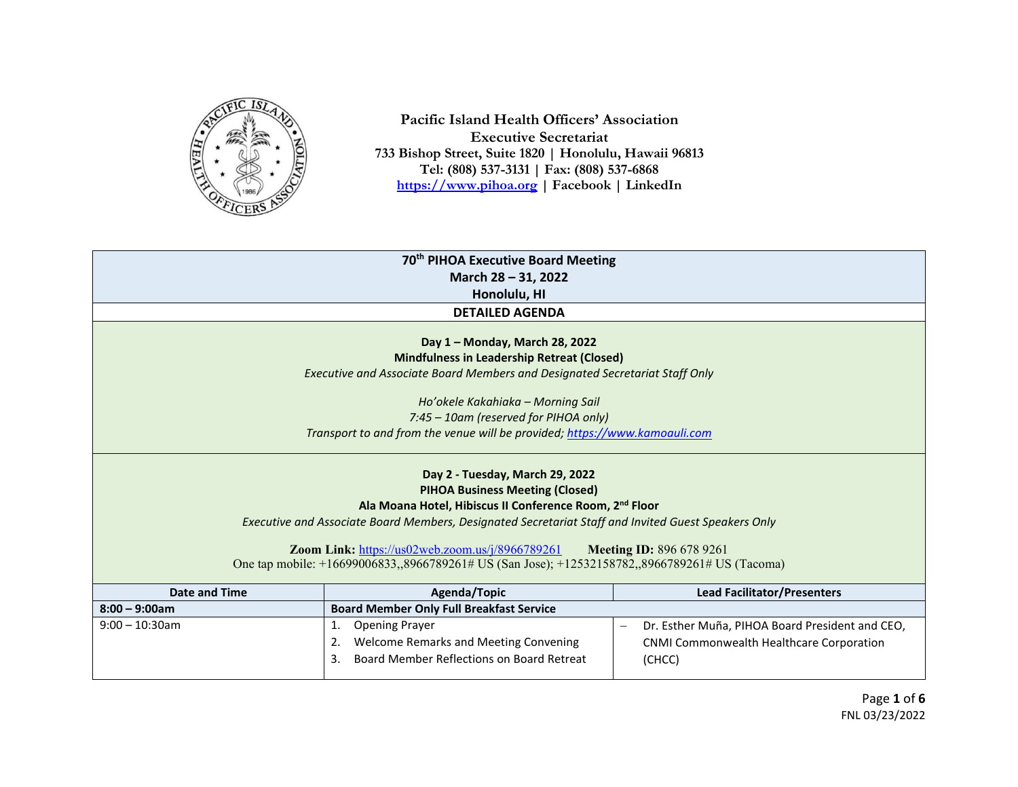

**Pacific Island Health Officers' Association Executive Secretariat 733 Bishop Street, Suite 1820 | Honolulu, Hawaii 96813 Tel: (808) 537-3131 | Fax: (808) 537-6868 [https://www.pihoa.org](https://www.pihoa.org/) | Facebook | LinkedIn** 

| 70 <sup>th</sup> PIHOA Executive Board Meeting                                                      |                                                                            |                                                 |
|-----------------------------------------------------------------------------------------------------|----------------------------------------------------------------------------|-------------------------------------------------|
| March 28 - 31, 2022                                                                                 |                                                                            |                                                 |
| Honolulu, HI                                                                                        |                                                                            |                                                 |
|                                                                                                     | <b>DETAILED AGENDA</b>                                                     |                                                 |
|                                                                                                     |                                                                            |                                                 |
| Day 1 - Monday, March 28, 2022                                                                      |                                                                            |                                                 |
|                                                                                                     | <b>Mindfulness in Leadership Retreat (Closed)</b>                          |                                                 |
| Executive and Associate Board Members and Designated Secretariat Staff Only                         |                                                                            |                                                 |
| Ho'okele Kakahiaka - Morning Sail                                                                   |                                                                            |                                                 |
|                                                                                                     | 7:45 - 10am (reserved for PIHOA only)                                      |                                                 |
|                                                                                                     | Transport to and from the venue will be provided; https://www.kamoauli.com |                                                 |
|                                                                                                     |                                                                            |                                                 |
| Day 2 - Tuesday, March 29, 2022                                                                     |                                                                            |                                                 |
|                                                                                                     | <b>PIHOA Business Meeting (Closed)</b>                                     |                                                 |
| Ala Moana Hotel, Hibiscus II Conference Room, 2 <sup>nd</sup> Floor                                 |                                                                            |                                                 |
| Executive and Associate Board Members, Designated Secretariat Staff and Invited Guest Speakers Only |                                                                            |                                                 |
|                                                                                                     |                                                                            |                                                 |
|                                                                                                     | Zoom Link: https://us02web.zoom.us/j/8966789261                            | <b>Meeting ID: 896 678 9261</b>                 |
| One tap mobile: +16699006833,,8966789261# US (San Jose); +12532158782,,8966789261# US (Tacoma)      |                                                                            |                                                 |
| <b>Date and Time</b>                                                                                | Agenda/Topic                                                               | <b>Lead Facilitator/Presenters</b>              |
| $8:00 - 9:00am$                                                                                     | <b>Board Member Only Full Breakfast Service</b>                            |                                                 |
| $9:00 - 10:30$ am                                                                                   | <b>Opening Prayer</b><br>1.                                                | Dr. Esther Muña, PIHOA Board President and CEO, |
|                                                                                                     | Welcome Remarks and Meeting Convening<br>2.                                | CNMI Commonwealth Healthcare Corporation        |
|                                                                                                     | Board Member Reflections on Board Retreat<br>3.                            | (CHCC)                                          |
|                                                                                                     |                                                                            |                                                 |

Page **1** of **6** FNL 03/23/2022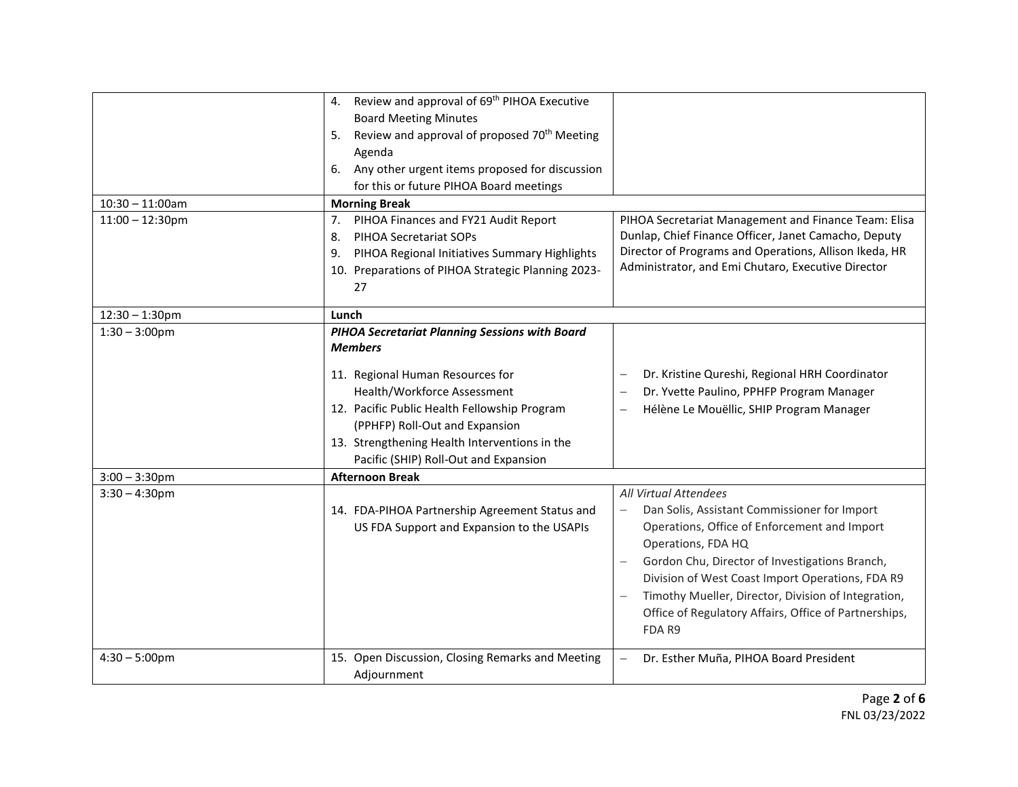|                    | 4. Review and approval of 69 <sup>th</sup> PIHOA Executive     |                                                                          |
|--------------------|----------------------------------------------------------------|--------------------------------------------------------------------------|
|                    | <b>Board Meeting Minutes</b>                                   |                                                                          |
|                    | Review and approval of proposed 70 <sup>th</sup> Meeting<br>5. |                                                                          |
|                    | Agenda                                                         |                                                                          |
|                    | 6. Any other urgent items proposed for discussion              |                                                                          |
|                    | for this or future PIHOA Board meetings                        |                                                                          |
| $10:30 - 11:00am$  | <b>Morning Break</b>                                           |                                                                          |
| $11:00 - 12:30$ pm | PIHOA Finances and FY21 Audit Report<br>7.                     | PIHOA Secretariat Management and Finance Team: Elisa                     |
|                    | <b>PIHOA Secretariat SOPs</b><br>8.                            | Dunlap, Chief Finance Officer, Janet Camacho, Deputy                     |
|                    | PIHOA Regional Initiatives Summary Highlights<br>9.            | Director of Programs and Operations, Allison Ikeda, HR                   |
|                    | 10. Preparations of PIHOA Strategic Planning 2023-             | Administrator, and Emi Chutaro, Executive Director                       |
|                    | 27                                                             |                                                                          |
| $12:30 - 1:30$ pm  | Lunch                                                          |                                                                          |
| $1:30 - 3:00$ pm   | <b>PIHOA Secretariat Planning Sessions with Board</b>          |                                                                          |
|                    | <b>Members</b>                                                 |                                                                          |
|                    |                                                                |                                                                          |
|                    | 11. Regional Human Resources for                               | Dr. Kristine Qureshi, Regional HRH Coordinator                           |
|                    | Health/Workforce Assessment                                    | Dr. Yvette Paulino, PPHFP Program Manager                                |
|                    | 12. Pacific Public Health Fellowship Program                   | Hélène Le Mouëllic, SHIP Program Manager<br>$\overline{\phantom{0}}$     |
|                    | (PPHFP) Roll-Out and Expansion                                 |                                                                          |
|                    | 13. Strengthening Health Interventions in the                  |                                                                          |
|                    | Pacific (SHIP) Roll-Out and Expansion                          |                                                                          |
| $3:00 - 3:30$ pm   | <b>Afternoon Break</b>                                         |                                                                          |
| $3:30 - 4:30$ pm   |                                                                | <b>All Virtual Attendees</b>                                             |
|                    | 14. FDA-PIHOA Partnership Agreement Status and                 | Dan Solis, Assistant Commissioner for Import<br>$\overline{\phantom{0}}$ |
|                    | US FDA Support and Expansion to the USAPIs                     | Operations, Office of Enforcement and Import                             |
|                    |                                                                | Operations, FDA HQ                                                       |
|                    |                                                                | Gordon Chu, Director of Investigations Branch,                           |
|                    |                                                                | Division of West Coast Import Operations, FDA R9                         |
|                    |                                                                | Timothy Mueller, Director, Division of Integration,                      |
|                    |                                                                | Office of Regulatory Affairs, Office of Partnerships,                    |
|                    |                                                                | FDA R9                                                                   |
| $4:30 - 5:00$ pm   | 15. Open Discussion, Closing Remarks and Meeting               | Dr. Esther Muña, PIHOA Board President                                   |
|                    | Adjournment                                                    |                                                                          |
|                    |                                                                |                                                                          |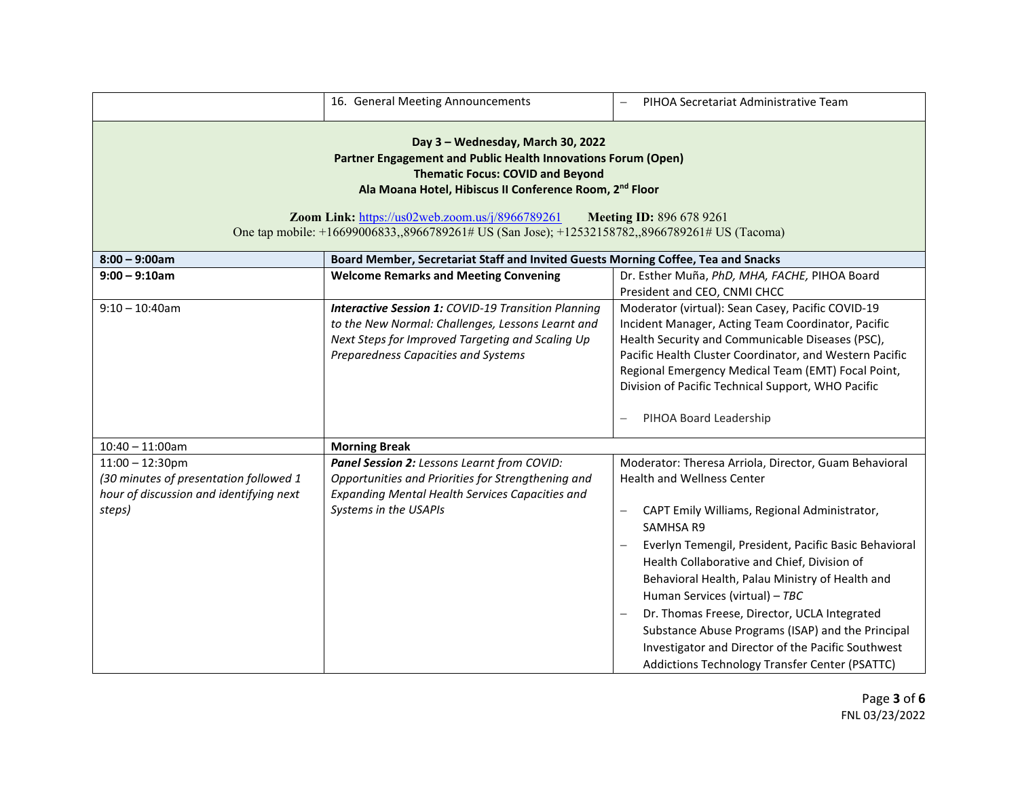|                                                                                                                                                                                                                                                                                                                                                                                                              | 16. General Meeting Announcements                                                                                                                                                                          | PIHOA Secretariat Administrative Team                                                                                                                                                                                                                                                                                                                                                                                                                                                                                                                                                                                     |  |
|--------------------------------------------------------------------------------------------------------------------------------------------------------------------------------------------------------------------------------------------------------------------------------------------------------------------------------------------------------------------------------------------------------------|------------------------------------------------------------------------------------------------------------------------------------------------------------------------------------------------------------|---------------------------------------------------------------------------------------------------------------------------------------------------------------------------------------------------------------------------------------------------------------------------------------------------------------------------------------------------------------------------------------------------------------------------------------------------------------------------------------------------------------------------------------------------------------------------------------------------------------------------|--|
| Day 3 - Wednesday, March 30, 2022<br>Partner Engagement and Public Health Innovations Forum (Open)<br><b>Thematic Focus: COVID and Beyond</b><br>Ala Moana Hotel, Hibiscus II Conference Room, 2 <sup>nd</sup> Floor<br>Zoom Link: https://us02web.zoom.us/j/8966789261<br><b>Meeting ID: 896 678 9261</b><br>One tap mobile: +16699006833,,8966789261# US (San Jose); +12532158782,,8966789261# US (Tacoma) |                                                                                                                                                                                                            |                                                                                                                                                                                                                                                                                                                                                                                                                                                                                                                                                                                                                           |  |
| Board Member, Secretariat Staff and Invited Guests Morning Coffee, Tea and Snacks<br>$8:00 - 9:00am$                                                                                                                                                                                                                                                                                                         |                                                                                                                                                                                                            |                                                                                                                                                                                                                                                                                                                                                                                                                                                                                                                                                                                                                           |  |
| $9:00 - 9:10$ am                                                                                                                                                                                                                                                                                                                                                                                             | <b>Welcome Remarks and Meeting Convening</b>                                                                                                                                                               | Dr. Esther Muña, PhD, MHA, FACHE, PIHOA Board<br>President and CEO, CNMI CHCC                                                                                                                                                                                                                                                                                                                                                                                                                                                                                                                                             |  |
| $9:10 - 10:40$ am                                                                                                                                                                                                                                                                                                                                                                                            | <b>Interactive Session 1: COVID-19 Transition Planning</b><br>to the New Normal: Challenges, Lessons Learnt and<br>Next Steps for Improved Targeting and Scaling Up<br>Preparedness Capacities and Systems | Moderator (virtual): Sean Casey, Pacific COVID-19<br>Incident Manager, Acting Team Coordinator, Pacific<br>Health Security and Communicable Diseases (PSC),<br>Pacific Health Cluster Coordinator, and Western Pacific<br>Regional Emergency Medical Team (EMT) Focal Point,<br>Division of Pacific Technical Support, WHO Pacific<br>PIHOA Board Leadership                                                                                                                                                                                                                                                              |  |
| $10:40 - 11:00$ am                                                                                                                                                                                                                                                                                                                                                                                           | <b>Morning Break</b>                                                                                                                                                                                       |                                                                                                                                                                                                                                                                                                                                                                                                                                                                                                                                                                                                                           |  |
| $11:00 - 12:30$ pm<br>(30 minutes of presentation followed 1<br>hour of discussion and identifying next<br>steps)                                                                                                                                                                                                                                                                                            | Panel Session 2: Lessons Learnt from COVID:<br>Opportunities and Priorities for Strengthening and<br><b>Expanding Mental Health Services Capacities and</b><br>Systems in the USAPIs                       | Moderator: Theresa Arriola, Director, Guam Behavioral<br><b>Health and Wellness Center</b><br>CAPT Emily Williams, Regional Administrator,<br>$\qquad \qquad -$<br><b>SAMHSA R9</b><br>Everlyn Temengil, President, Pacific Basic Behavioral<br>$\overline{\phantom{0}}$<br>Health Collaborative and Chief, Division of<br>Behavioral Health, Palau Ministry of Health and<br>Human Services (virtual) - TBC<br>Dr. Thomas Freese, Director, UCLA Integrated<br>Substance Abuse Programs (ISAP) and the Principal<br>Investigator and Director of the Pacific Southwest<br>Addictions Technology Transfer Center (PSATTC) |  |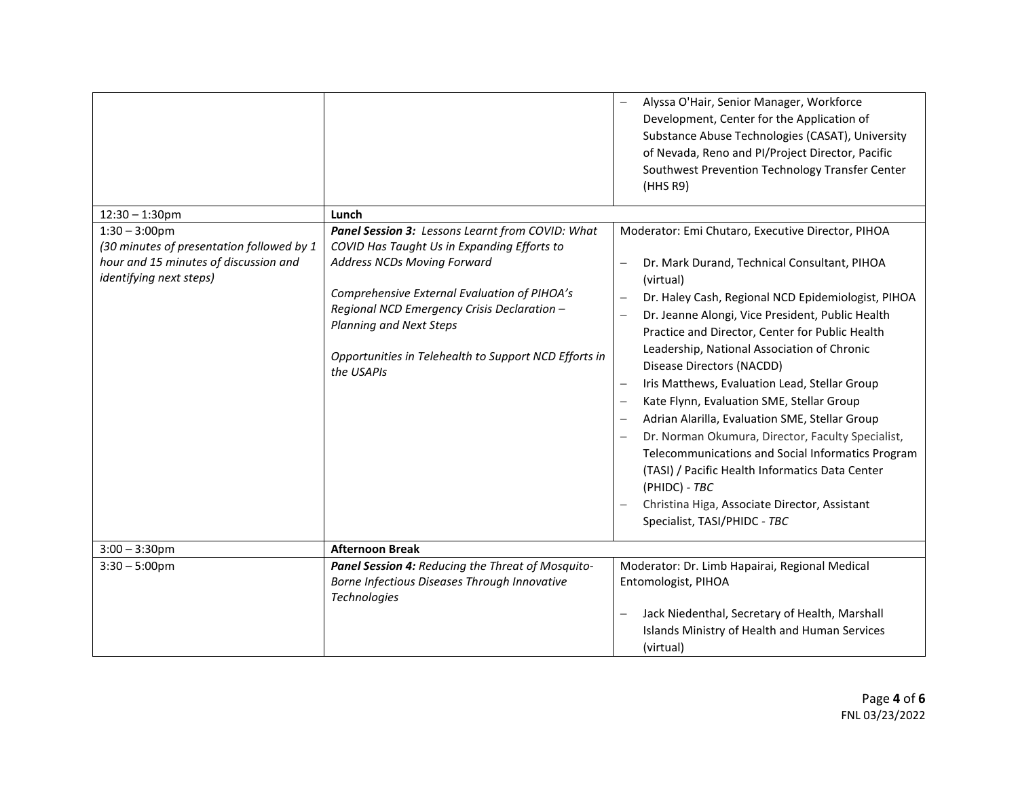|                                                                                                                                          |                                                                                                                                                                                                                                                                                                                                        | Alyssa O'Hair, Senior Manager, Workforce<br>Development, Center for the Application of<br>Substance Abuse Technologies (CASAT), University<br>of Nevada, Reno and PI/Project Director, Pacific<br>Southwest Prevention Technology Transfer Center<br>(HHS R9)                                                                                                                                                                                                                                                                                                                                                                                                                                                                                                                                                       |
|------------------------------------------------------------------------------------------------------------------------------------------|----------------------------------------------------------------------------------------------------------------------------------------------------------------------------------------------------------------------------------------------------------------------------------------------------------------------------------------|---------------------------------------------------------------------------------------------------------------------------------------------------------------------------------------------------------------------------------------------------------------------------------------------------------------------------------------------------------------------------------------------------------------------------------------------------------------------------------------------------------------------------------------------------------------------------------------------------------------------------------------------------------------------------------------------------------------------------------------------------------------------------------------------------------------------|
| $12:30 - 1:30$ pm                                                                                                                        | Lunch                                                                                                                                                                                                                                                                                                                                  |                                                                                                                                                                                                                                                                                                                                                                                                                                                                                                                                                                                                                                                                                                                                                                                                                     |
| $1:30 - 3:00$ pm<br>(30 minutes of presentation followed by 1<br>hour and 15 minutes of discussion and<br><i>identifying next steps)</i> | Panel Session 3: Lessons Learnt from COVID: What<br>COVID Has Taught Us in Expanding Efforts to<br><b>Address NCDs Moving Forward</b><br>Comprehensive External Evaluation of PIHOA's<br>Regional NCD Emergency Crisis Declaration -<br>Planning and Next Steps<br>Opportunities in Telehealth to Support NCD Efforts in<br>the USAPIs | Moderator: Emi Chutaro, Executive Director, PIHOA<br>Dr. Mark Durand, Technical Consultant, PIHOA<br>(virtual)<br>Dr. Haley Cash, Regional NCD Epidemiologist, PIHOA<br>Dr. Jeanne Alongi, Vice President, Public Health<br>$\frac{1}{2}$<br>Practice and Director, Center for Public Health<br>Leadership, National Association of Chronic<br>Disease Directors (NACDD)<br>Iris Matthews, Evaluation Lead, Stellar Group<br>$\overline{\phantom{0}}$<br>Kate Flynn, Evaluation SME, Stellar Group<br>Adrian Alarilla, Evaluation SME, Stellar Group<br>Dr. Norman Okumura, Director, Faculty Specialist,<br>Telecommunications and Social Informatics Program<br>(TASI) / Pacific Health Informatics Data Center<br>(PHIDC) - TBC<br>Christina Higa, Associate Director, Assistant<br>Specialist, TASI/PHIDC - TBC |
| $3:00 - 3:30$ pm                                                                                                                         | <b>Afternoon Break</b>                                                                                                                                                                                                                                                                                                                 |                                                                                                                                                                                                                                                                                                                                                                                                                                                                                                                                                                                                                                                                                                                                                                                                                     |
| $3:30 - 5:00$ pm                                                                                                                         | Panel Session 4: Reducing the Threat of Mosquito-<br>Borne Infectious Diseases Through Innovative<br>Technologies                                                                                                                                                                                                                      | Moderator: Dr. Limb Hapairai, Regional Medical<br>Entomologist, PIHOA<br>Jack Niedenthal, Secretary of Health, Marshall<br>$\overline{\phantom{0}}$<br>Islands Ministry of Health and Human Services<br>(virtual)                                                                                                                                                                                                                                                                                                                                                                                                                                                                                                                                                                                                   |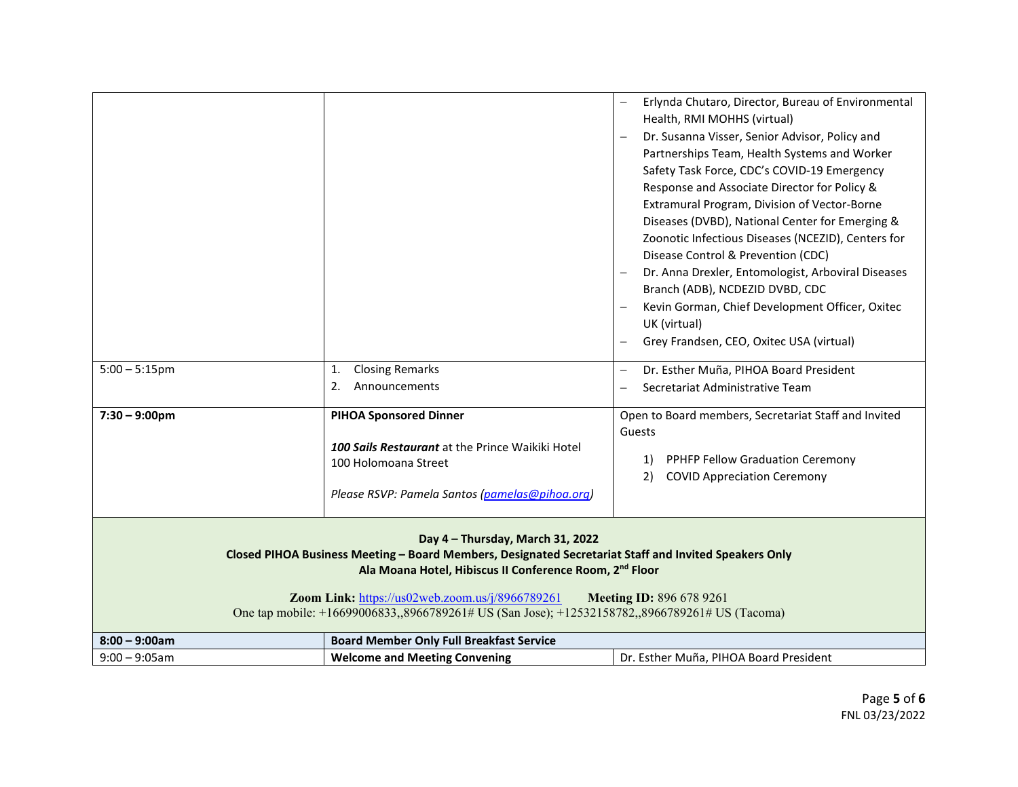|                                                                                                                                                                                                                                                                                                                                                                                                          |                                                                                                                                                             | Erlynda Chutaro, Director, Bureau of Environmental<br>Health, RMI MOHHS (virtual)<br>Dr. Susanna Visser, Senior Advisor, Policy and<br>Partnerships Team, Health Systems and Worker<br>Safety Task Force, CDC's COVID-19 Emergency<br>Response and Associate Director for Policy &<br>Extramural Program, Division of Vector-Borne<br>Diseases (DVBD), National Center for Emerging &<br>Zoonotic Infectious Diseases (NCEZID), Centers for<br>Disease Control & Prevention (CDC)<br>Dr. Anna Drexler, Entomologist, Arboviral Diseases |
|----------------------------------------------------------------------------------------------------------------------------------------------------------------------------------------------------------------------------------------------------------------------------------------------------------------------------------------------------------------------------------------------------------|-------------------------------------------------------------------------------------------------------------------------------------------------------------|-----------------------------------------------------------------------------------------------------------------------------------------------------------------------------------------------------------------------------------------------------------------------------------------------------------------------------------------------------------------------------------------------------------------------------------------------------------------------------------------------------------------------------------------|
|                                                                                                                                                                                                                                                                                                                                                                                                          |                                                                                                                                                             | Branch (ADB), NCDEZID DVBD, CDC<br>Kevin Gorman, Chief Development Officer, Oxitec<br>UK (virtual)<br>Grey Frandsen, CEO, Oxitec USA (virtual)                                                                                                                                                                                                                                                                                                                                                                                          |
| $5:00 - 5:15$ pm                                                                                                                                                                                                                                                                                                                                                                                         | <b>Closing Remarks</b><br>1.<br>2.<br>Announcements                                                                                                         | Dr. Esther Muña, PIHOA Board President<br>Secretariat Administrative Team                                                                                                                                                                                                                                                                                                                                                                                                                                                               |
| $7:30 - 9:00$ pm                                                                                                                                                                                                                                                                                                                                                                                         | <b>PIHOA Sponsored Dinner</b><br>100 Sails Restaurant at the Prince Waikiki Hotel<br>100 Holomoana Street<br>Please RSVP: Pamela Santos (pamelas@pihoa.org) | Open to Board members, Secretariat Staff and Invited<br>Guests<br>PPHFP Fellow Graduation Ceremony<br>1)<br><b>COVID Appreciation Ceremony</b><br>2)                                                                                                                                                                                                                                                                                                                                                                                    |
| Day 4 - Thursday, March 31, 2022<br>Closed PIHOA Business Meeting - Board Members, Designated Secretariat Staff and Invited Speakers Only<br>Ala Moana Hotel, Hibiscus II Conference Room, 2 <sup>nd</sup> Floor<br>Zoom Link: https://us02web.zoom.us/j/8966789261<br><b>Meeting ID: 896 678 9261</b><br>One tap mobile: +16699006833,,8966789261# US (San Jose); +12532158782,,8966789261# US (Tacoma) |                                                                                                                                                             |                                                                                                                                                                                                                                                                                                                                                                                                                                                                                                                                         |
| $8:00 - 9:00am$                                                                                                                                                                                                                                                                                                                                                                                          | <b>Board Member Only Full Breakfast Service</b>                                                                                                             |                                                                                                                                                                                                                                                                                                                                                                                                                                                                                                                                         |
| $9:00 - 9:05$ am                                                                                                                                                                                                                                                                                                                                                                                         | <b>Welcome and Meeting Convening</b>                                                                                                                        | Dr. Esther Muña, PIHOA Board President                                                                                                                                                                                                                                                                                                                                                                                                                                                                                                  |